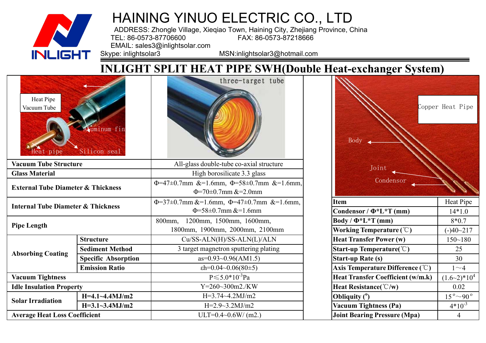

ADDRESS: Zhongle Village, Xieqiao Town, Haining City, Zhejiang Province, China<br>FAX: 86-0573-87218666 TEL: 86-0573-87706600 FAX: 86-0573-87218666

EMAIL: sales3@inlightsolar.com<br>Skype: inlightsolar3

MSN:inlightsolar3@hotmail.com

### **INLIGHT SPLIT HEAT PIPE SWH(Double Heat-exchanger System)**

| Heat Pipe<br>Vacuum Tube                      | uminum fir<br>Silicon seal | three-target tube                                                               | <b>Body</b>                                                     | Copper Heat Pipe             |  |  |  |
|-----------------------------------------------|----------------------------|---------------------------------------------------------------------------------|-----------------------------------------------------------------|------------------------------|--|--|--|
| <b>Vacuum Tube Structure</b>                  |                            | All-glass double-tube co-axial structure                                        | Joint                                                           |                              |  |  |  |
| <b>Glass Material</b>                         |                            | High borosilicate 3.3 glass                                                     |                                                                 |                              |  |  |  |
| <b>External Tube Diameter &amp; Thickness</b> |                            | $\Phi$ =47±0.7mm &=1.6mm, $\Phi$ =58±0.7mm &=1.6mm,<br>$\Phi$ =70±0.7mm &=2.0mm | Condensor                                                       |                              |  |  |  |
| <b>Internal Tube Diameter &amp; Thickness</b> |                            | $\Phi$ =37±0.7mm &=1.6mm, $\Phi$ =47±0.7mm &=1.6mm,<br>$\Phi$ =58±0.7mm &=1.6mm | <b>Item</b><br>Condensor / $\Phi^*L^*T$ (mm)                    | Heat Pipe<br>$14*1.0$        |  |  |  |
| <b>Pipe Length</b>                            |                            | 1200mm, 1500mm, 1600mm,<br>800mm,<br>1800mm, 1900mm, 2000mm, 2100mm             | $Body / \Phi^*L^*T$ (mm)<br>Working Temperature $(\mathcal{C})$ | $8*0.7$<br>$(-)40 - 217$     |  |  |  |
|                                               | <b>Structure</b>           | Cu/SS-ALN(H)/SS-ALN(L)/ALN                                                      | <b>Heat Transfer Power (w)</b>                                  | $150 - 180$                  |  |  |  |
|                                               | <b>Sediment Method</b>     | 3 target magnetron sputtering plating                                           | Start-up Temperature( $\degree$ C)                              | 25                           |  |  |  |
| <b>Absorbing Coating</b>                      | <b>Specific Absorption</b> | $as=0.93\sim0.96(AM1.5)$                                                        | <b>Start-up Rate (s)</b>                                        | 30                           |  |  |  |
| <b>Emission Ratio</b>                         |                            | $\text{eh} = 0.04 - 0.06(80 \pm 5)$                                             | Axis Temperature Difference $(\mathcal{C})$                     | $1\sim4$                     |  |  |  |
| <b>Vacuum Tightness</b>                       |                            | $P \le 5.0*10^{-3} Pa$                                                          | <b>Heat Transfer Coefficient (w/m.k)</b>                        | $(1.6-2)*10^{4}$             |  |  |  |
| <b>Idle Insulation Property</b>               |                            | $Y = 260 - 300$ m2./KW                                                          | Heat Resistance( $\degree$ C/w)                                 | 0.02                         |  |  |  |
| <b>Solar Irradiation</b>                      | $H=4.1-4.4MJ/m2$           | $H=3.74-4.2 MJ/m2$                                                              | Obliquity $(°)$                                                 | $15^{\circ}$ ~ 90 $^{\circ}$ |  |  |  |
|                                               | $H=3.1-3.4MJ/m2$           | $H=2.9-3.2 MJ/m2$                                                               | <b>Vacuum Tightness (Pa)</b>                                    | $4*10^{-3}$                  |  |  |  |
| <b>Average Heat Loss Coefficient</b>          |                            | $ULT=0.4~0.6W/(m2.)$                                                            | <b>Joint Bearing Pressure (Mpa)</b>                             | 4                            |  |  |  |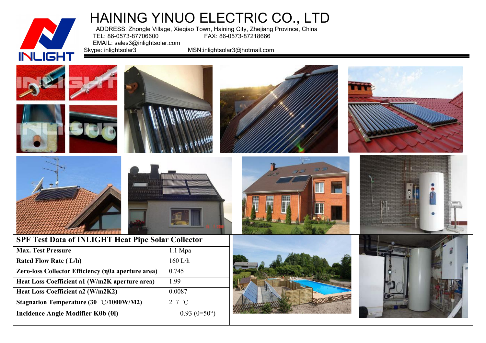

ADDRESS: Zhongle Village, Xieqiao Town, Haining City, Zhejiang Province, China<br>TEL: 86-0573-87206600 FAX: 86-0573-87218666 TEL: 86-0573-87706600 FAX: 86-0573-87218666

EMAIL: sales3@inlightsolar.com<br>Skype: inlightsolar3

MSN:inlightsolar3@hotmail.com

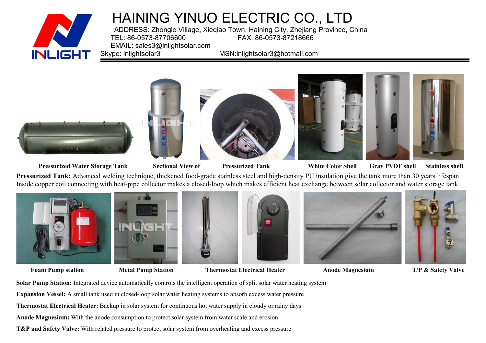

ADDRESS: Zhongle Village, Xieqiao Town, Haining City, Zhejiang Province, China<br>FAX: 86-0573-87218666 FAX: 86-0573-87218666 EMAIL: sales3@inlightsolar.com<br>Skype: inlightsolar3

MSN:inlightsolar3@hotmail.com



Pressurized Water Storage Tank Sectional View of Pressurized Tank White Color Shell Gray PVDF shell Stainless shell

**Pressurized Tank:** Advanced welding technique, thickened food-grade stainless steel and high-density PU insulation give the tank more than 30 years lifespan Inside copper coil connecting with heat-pipe collector makes a closed-loop which makes efficient heat exchange between solar collector and water storage tank



**Foam Pump station Metal Pump Station Thermostat Electrical Heater Anode Magnesium T/P & Safety Valve**

**Solar Pump Station:** Integrated device automatically controls the intelligent operation of split solar water heating system **Expansion Vessel:** A small tank used in closed-loop solar water heating systems to absorb excess water pressure **Thermostat Electrical Heater:** Backup in solar system for continuous hot water supply in cloudy or rainy days **Anode Magnesium:** With the anode consumption to protect solar system from water scale and erosion **T&P and Safety Valve:** With related pressure to protect solar system from overheating and excess pressure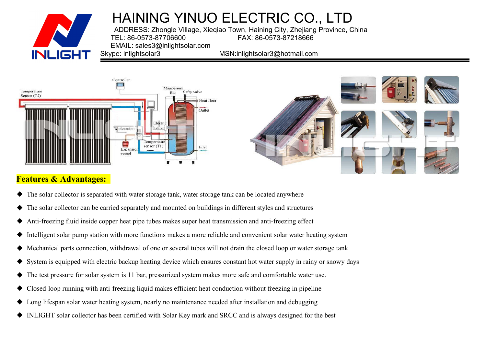

ADDRESS: Zhongle Village, Xieqiao Town, Haining City, Zhejiang Province, China FAX: 86-0573-87218666 EMAIL: sales3@inlightsolar.com<br>Skype: inlightsolar3

MSN:inlightsolar3@hotmail.com



#### **Features & Advantages:**

- ◆ The solar collector is separated with water storage tank, water storage tank can be located anywhere
- The solar collector can be carried separately and mounted on buildings in different styles and structures
- Anti-freezing fluid inside copper heat pipe tubes makes super heat transmission and anti-freezing effect
- Intelligent solar pump station with more functions makes a more reliable and convenient solar water heating system
- Mechanical parts connection, withdrawal of one or several tubes will not drain the closed loop or water storage tank
- System is equipped with electric backup heating device which ensures constant hot water supply in rainy or snowy days
- ◆ The test pressure for solar system is 11 bar, pressurized system makes more safe and comfortable water use.
- Closed-loop running with anti-freezing liquid makes efficient heat conduction without freezing in pipeline
- ◆ Long lifespan solar water heating system, nearly no maintenance needed after installation and debugging
- ◆ INLIGHT solar collector has been certified with Solar Key mark and SRCC and is always designed for the best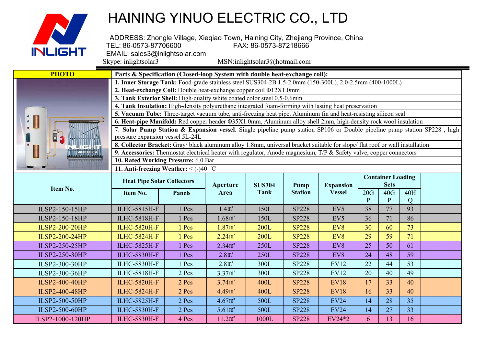

ADDRESS: Zhongle Village, Xieqiao Town, Haining City, Zhejiang Province, China<br>FAX: 86-0573-87218666 TEL: 86-0573-87706600 FAX: 86-0573-87218666 EMAIL: sales3@inlightsolar.com<br>Skype: inlightsolar3

 $MSN:$ inlightsolar $3$ @hotmail.com **PHOTO Parts & Specification (Closed-loop System with double heat-exchange coil): 1. Inner Storage Tank:** Food-grade stainless steel SUS304-2B 1.5-2.0mm (150-300L), 2.0-2.5mm (400-1000L) **2. Heat-exchange Coil:** Double heat-exchange copper coil Φ12X1.0mm **3. Tank Exterior Shell:** High-quality white coated color steel 0.5-0.6mm **4. Tank Insulation:** High-density polyurethane integrated foam-forming with lasting heat preservation **5. Vacuum Tube:** Three-target vacuum tube, anti-freezing heat pipe, Aluminum fin and heat-resisting silicon seal **6. Heat-pipe Manifold:** Red copper header Φ35X1.0mm, Aluminum alloy shell 2mm, high-density rock woolinsulation 7. **Solar Pump Station & Expansion vessel**: Single pipeline pump station SP106 or Double pipeline pump station SP228 , high pressure expansion vessel 5L-24L **8. Collector Bracket:** Gray/ black aluminum alloy 1.8mm, universal bracket suitable for slope/ flat roof or wall installation **9. Accessories:** Thermostat electrical heater with regulator, Anode magnesium, T/P & Safety valve, copper connectors **10. Rated Working Pressure:** 6.0 Bar **11. Anti-freezing Weather:** < (-)40 ℃

|                       | <b>Heat Pipe Solar Collectors</b> |               | <b>Aperture</b>               | <b>SUS304</b> | Pump           | <b>Expansion</b> |     | <b>Container Loading</b><br><b>Sets</b> |          |  |
|-----------------------|-----------------------------------|---------------|-------------------------------|---------------|----------------|------------------|-----|-----------------------------------------|----------|--|
| Item No.              | Item No.                          | <b>Panels</b> | Area                          | Tank          | <b>Station</b> | <b>Vessel</b>    | 20G | 40G                                     | 40H<br>Q |  |
| ILSP2-150-15HP        | <b>ILHC-5815H-F</b>               | 1 Pcs         | 1.4 <sup> m<sup>2</sup></sup> | 150L          | <b>SP228</b>   | EV5              | 38  | 77                                      | 93       |  |
| ILSP2-150-18HP        | <b>ILHC-5818H-F</b>               | 1 Pcs         | 1.68m <sup>2</sup>            | 150L          | <b>SP228</b>   | EV5              | 36  | 71                                      | 86       |  |
| <b>ILSP2-200-20HP</b> | <b>ILHC-5820H-F</b>               | 1 Pcs         | $1.87m^2$                     | <b>200L</b>   | <b>SP228</b>   | EV8              | 30  | 60                                      | 73       |  |
| <b>ILSP2-200-24HP</b> | <b>ILHC-5824H-F</b>               | 1 Pcs         | 2.24m <sup>2</sup>            | <b>200L</b>   | <b>SP228</b>   | EV8              | 29  | 59                                      | 71       |  |
| ILSP2-250-25HP        | <b>ILHC-5825H-F</b>               | Pcs           | 2.34m <sup>2</sup>            | 250L          | <b>SP228</b>   | EV8              | 25  | 50                                      | 61       |  |
| ILSP2-250-30HP        | <b>ILHC-5830H-F</b>               | Pcs           | 2.8 <sup>n</sup>              | 250L          | <b>SP228</b>   | EV8              | 24  | 48                                      | 59       |  |
| ILSP2-300-30HP        | <b>ILHC-5830H-F</b>               | 1 Pcs         | 2.8 <sup>n</sup>              | 300L          | <b>SP228</b>   | <b>EV12</b>      | 22  | 44                                      | 53       |  |
| ILSP2-300-36HP        | <b>ILHC-5818H-F</b>               | $2$ Pcs       | 3.37m <sup>2</sup>            | 300L          | <b>SP228</b>   | <b>EV12</b>      | 20  | 40                                      | 49       |  |
| <b>ILSP2-400-40HP</b> | <b>ILHC-5820H-F</b>               | $2$ Pcs       | 3.74m <sup>2</sup>            | 400L          | <b>SP228</b>   | <b>EV18</b>      | 17  | 33                                      | 40       |  |
| <b>ILSP2-400-48HP</b> | <b>ILHC-5824H-F</b>               | $2$ Pcs       | 4.49m <sup>2</sup>            | 400L          | <b>SP228</b>   | <b>EV18</b>      | 16  | 33                                      | 40       |  |
| <b>ILSP2-500-50HP</b> | <b>ILHC-5825H-F</b>               | 2 Pcs         | $4.67$ m <sup>2</sup>         | 500L          | <b>SP228</b>   | <b>EV24</b>      | 14  | 28                                      | 35       |  |
| ILSP2-500-60HP        | <b>ILHC-5830H-F</b>               | $2$ Pcs       | $5.61 \text{ m}^2$            | 500L          | <b>SP228</b>   | <b>EV24</b>      | 14  | 27                                      | 33       |  |
| ILSP2-1000-120HP      | <b>ILHC-5830H-F</b>               | 4 Pcs         | 11.2m <sup>2</sup>            | 1000L         | <b>SP228</b>   | EV24*2           | 6.  | 13                                      | 16       |  |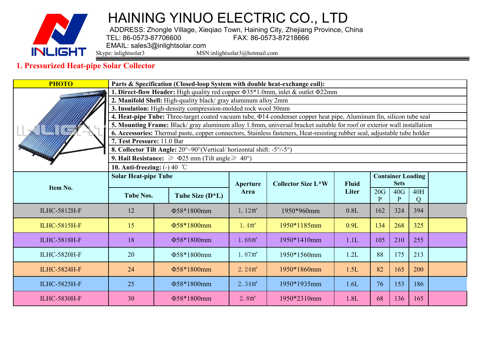

ADDRESS: Zhongle Village, Xieqiao Town, Haining City, Zhejiang Province, China<br>TEL: 86-0573-87706600 FAX: 86-0573-87218666 TEL: 86-0573-87706600

EMAIL: sales3@inlightsolar.com<br>Skype: inlightsolar3 MSN

MSN:inlightsolar3@hotmail.com

#### **1. Pressurized Heat-pipe Solar Collector**

| <b>PHOTO</b>                                                                              |                                                                                                                                                                                                                                                     | Parts & Specification (Closed-loop System with double heat-exchange coil):                                                |                                               |             |              |                          |             |                 |  |  |  |  |
|-------------------------------------------------------------------------------------------|-----------------------------------------------------------------------------------------------------------------------------------------------------------------------------------------------------------------------------------------------------|---------------------------------------------------------------------------------------------------------------------------|-----------------------------------------------|-------------|--------------|--------------------------|-------------|-----------------|--|--|--|--|
| . Direct-flow Header: High quality red copper $\Phi$ 35*1.0mm, inlet & outlet $\Phi$ 22mm |                                                                                                                                                                                                                                                     |                                                                                                                           |                                               |             |              |                          |             |                 |  |  |  |  |
|                                                                                           | 2. Manifold Shell: High-quality black/ gray aluminum alloy 2mm                                                                                                                                                                                      |                                                                                                                           |                                               |             |              |                          |             |                 |  |  |  |  |
|                                                                                           | 3. Insulation: High-density compression-molded rock wool 50mm                                                                                                                                                                                       |                                                                                                                           |                                               |             |              |                          |             |                 |  |  |  |  |
|                                                                                           | 4. Heat-pipe Tube: Three-target coated vacuum tube, $\Phi$ 14 condenser copper heat pipe, Aluminum fin, silicon tube seal<br>5. Mounting Frame: Black/ gray aluminum alloy 1.8mm, universal bracket suitable for roof or exterior wall installation |                                                                                                                           |                                               |             |              |                          |             |                 |  |  |  |  |
|                                                                                           |                                                                                                                                                                                                                                                     | 6. Accessories: Thermal paste, copper connectors, Stainless fasteners, Heat-resisting rubber seal, adjustable tube holder |                                               |             |              |                          |             |                 |  |  |  |  |
|                                                                                           | 7. Test Pressure: 11.0 Bar                                                                                                                                                                                                                          |                                                                                                                           |                                               |             |              |                          |             |                 |  |  |  |  |
|                                                                                           |                                                                                                                                                                                                                                                     | 8. Collector Tilt Angle: 20°~90° (Vertical/ horizontal shift: -5°/-5°)                                                    |                                               |             |              |                          |             |                 |  |  |  |  |
|                                                                                           |                                                                                                                                                                                                                                                     | 9. Hail Resistance: $\geq$ $\Phi$ 25 mm (Tilt angle $\geq$ 40°)                                                           |                                               |             |              |                          |             |                 |  |  |  |  |
|                                                                                           | 10. Anti-freezing: $(-)$ 40 °C                                                                                                                                                                                                                      |                                                                                                                           |                                               |             |              |                          |             |                 |  |  |  |  |
|                                                                                           | <b>Solar Heat-pipe Tube</b>                                                                                                                                                                                                                         |                                                                                                                           |                                               |             |              | <b>Container Loading</b> |             |                 |  |  |  |  |
| Item No.                                                                                  |                                                                                                                                                                                                                                                     |                                                                                                                           | <b>Collector Size L*W</b><br>Aperture<br>Area |             | <b>Fluid</b> |                          | <b>Sets</b> |                 |  |  |  |  |
|                                                                                           | <b>Tube Nos.</b>                                                                                                                                                                                                                                    | Tube Size $(D^*L)$                                                                                                        |                                               |             | Liter        | 20G<br>D                 | 40G<br>P    | <b>40H</b><br>Q |  |  |  |  |
| <b>ILHC-5812H-F</b>                                                                       | 12                                                                                                                                                                                                                                                  | Φ58*1800mm                                                                                                                | 1.12m <sup>2</sup>                            | 1950*960mm  | 0.8L         | 162                      | 324         | 394             |  |  |  |  |
| <b>ILHC-5815H-F</b>                                                                       | 15                                                                                                                                                                                                                                                  | Φ58*1800mm                                                                                                                | $1.4m^2$                                      | 1950*1185mm | 0.9L         | 134                      | 268         | 325             |  |  |  |  |
| <b>ILHC-5818H-F</b>                                                                       | 18                                                                                                                                                                                                                                                  | Φ58*1800mm                                                                                                                | 1.68m <sup>2</sup>                            | 1950*1410mm | 1.1L         | 105                      | 210         | 255             |  |  |  |  |
| <b>ILHC-5820H-F</b>                                                                       | 20                                                                                                                                                                                                                                                  | $\Phi$ 58*1800mm                                                                                                          | 1.87m <sup>2</sup>                            | 1950*1560mm | 1.2L         | 88                       | 175         | 213             |  |  |  |  |
| <b>ILHC-5824H-F</b>                                                                       | 24                                                                                                                                                                                                                                                  | Φ58*1800mm                                                                                                                | 2.24m <sup>2</sup>                            | 1950*1860mm | 1.5L         | 82                       | 165         | 200             |  |  |  |  |
| <b>ILHC-5825H-F</b>                                                                       | 25                                                                                                                                                                                                                                                  | Φ58*1800mm                                                                                                                | 2.34m <sup>2</sup>                            | 1950*1935mm | 1.6L         | 76                       | 153         | 186             |  |  |  |  |
| <b>ILHC-5830H-F</b>                                                                       | 30                                                                                                                                                                                                                                                  | Φ58*1800mm                                                                                                                | 2.8m <sup>2</sup>                             | 1950*2310mm | 1.8L         | 68                       | 136         | 165             |  |  |  |  |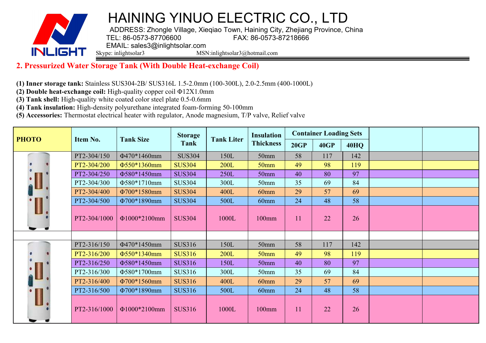

ADDRESS: Zhongle Village, Xieqiao Town, Haining City, Zhejiang Province, China<br>FAX: 86-0573-87218666 FAX: 86-0573-87218666 EMAIL: sales3@inlightsolar.com<br>Skype: inlightsolar3 MSN

MSN:inlightsolar3@hotmail.com

#### **2. Pressurized Water Storage Tank (With Double Heat-exchange Coil)**

**(1) Inner storage tank:** Stainless SUS304-2B/ SUS316L 1.5-2.0mm (100-300L), 2.0-2.5mm (400-1000L)

**(2) Double heat-exchange coil:**High-quality copper coil Φ12X1.0mm

**(3) Tank shell:** High-quality white coated color steel plate 0.5-0.6mm

**(4) Tank insulation:** High-density polyurethane integrated foam-forming 50-100mm

**(5) Accessories:** Thermostat electrical heater with regulator, Anode magnesium, T/P valve, Relief valve

| <b>PHOTO</b> |              | <b>Tank Size</b> | <b>Storage</b> | <b>Tank Liter</b> | <b>Insulation</b> |      | <b>Container Loading Sets</b> |             |  |
|--------------|--------------|------------------|----------------|-------------------|-------------------|------|-------------------------------|-------------|--|
|              | Item No.     |                  | Tank           |                   | <b>Thickness</b>  | 20GP | <b>40GP</b>                   | <b>40HQ</b> |  |
|              | PT2-304/150  | Φ470*1460mm      | <b>SUS304</b>  | 150L              | 50 <sub>mm</sub>  | 58   | 117                           | 142         |  |
|              | PT2-304/200  | Φ550*1360mm      | <b>SUS304</b>  | <b>200L</b>       | 50 <sub>mm</sub>  | 49   | 98                            | 119         |  |
|              | PT2-304/250  | Φ580*1450mm      | <b>SUS304</b>  | 250L              | 50 <sub>mm</sub>  | 40   | 80                            | 97          |  |
|              | PT2-304/300  | Φ580*1710mm      | <b>SUS304</b>  | 300L              | 50mm              | 35   | 69                            | 84          |  |
|              | PT2-304/400  | Φ700*1580mm      | <b>SUS304</b>  | 400L              | 60 <sub>mm</sub>  | 29   | 57                            | 69          |  |
|              | PT2-304/500  | Φ700*1890mm      | <b>SUS304</b>  | 500L              | 60mm              | 24   | 48                            | 58          |  |
| I            | PT2-304/1000 | Φ1000*2100mm     | <b>SUS304</b>  | 1000L             | 100mm             | 11   | 22                            | 26          |  |
|              |              |                  |                |                   |                   |      |                               |             |  |
|              | PT2-316/150  | Φ470*1450mm      | <b>SUS316</b>  | 150L              | 50 <sub>mm</sub>  | 58   | 117                           | 142         |  |
|              | PT2-316/200  | Φ550*1340mm      | <b>SUS316</b>  | <b>200L</b>       | 50 <sub>mm</sub>  | 49   | 98                            | 119         |  |
|              | PT2-316/250  | Φ580*1450mm      | <b>SUS316</b>  | 150L              | 50mm              | 40   | 80                            | 97          |  |
|              | PT2-316/300  | Φ580*1700mm      | <b>SUS316</b>  | 300L              | 50 <sub>mm</sub>  | 35   | 69                            | 84          |  |
|              | PT2-316/400  | Φ700*1560mm      | <b>SUS316</b>  | 400L              | 60 <sub>mm</sub>  | 29   | 57                            | 69          |  |
|              | PT2-316/500  | Φ700*1890mm      | <b>SUS316</b>  | 500L              | 60mm              | 24   | 48                            | 58          |  |
|              | PT2-316/1000 | Φ1000*2100mm     | <b>SUS316</b>  | 1000L             | 100mm             | 11   | 22                            | 26          |  |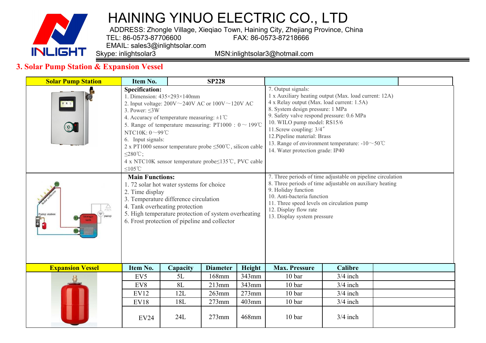

ADDRESS: Zhongle Village, Xieqiao Town, Haining City, Zhejiang Province, China<br>TEL: 86-0573-87706600 FAX: 86-0573-87218666 TEL: 86-0573-87706600

EMAIL: sales3@inlightsolar.com<br>Skype: inlightsolar3

MSN:inlightsolar3@hotmail.com

#### **3. Solar Pump Station & Expansion Vessel**

| <b>Solar Pump Station</b>            | Item No.                                                                                                                                                                                                                                                                                                                                                                                                                                                                                                           |                                         | <b>SP228</b>    |          |                                                                                                                                                                                                                                                                                                                                                                                                           |                |  |  |
|--------------------------------------|--------------------------------------------------------------------------------------------------------------------------------------------------------------------------------------------------------------------------------------------------------------------------------------------------------------------------------------------------------------------------------------------------------------------------------------------------------------------------------------------------------------------|-----------------------------------------|-----------------|----------|-----------------------------------------------------------------------------------------------------------------------------------------------------------------------------------------------------------------------------------------------------------------------------------------------------------------------------------------------------------------------------------------------------------|----------------|--|--|
|                                      | <b>Specification:</b><br>1. Dimension: $435 \times 293 \times 140$ mm<br>2. Input voltage: $200V \sim 240V$ AC or $100V \sim 120V$ AC<br>3. Power: $\leq 3W$<br>4. Accuracy of temperature measuring: $\pm 1^{\circ}$ C<br>5. Range of temperature measuring: PT1000: $0 \sim 199^{\circ}$ C<br>NTC10K: $0 \sim 99$ °C<br>6. Input signals:<br>2 x PT1000 sensor temperature probe $\leq 500^{\circ}$ C, silicon cable<br>$\leq$ 280°C;<br>4 x NTC10K sensor temperature probe  standard C, PVC cable<br>$≤105$ °C |                                         |                 |          | 7. Output signals:<br>1 x Auxiliary heating output (Max. load current: 12A)<br>4 x Relay output (Max. load current: 1.5A)<br>8. System design pressure: 1 MPa<br>9. Safety valve respond pressure: 0.6 MPa<br>10. WILO pump model: RS15/6<br>11.Screw coupling: 3/4"<br>12. Pipeline material: Brass<br>13. Range of environment temperature: $-10 \sim 50^{\circ}$ C<br>14. Water protection grade: IP40 |                |  |  |
| $\mathbb{A}$<br>Pump station<br>pump | <b>Main Functions:</b><br>2. Time display<br>3. Temperature difference circulation<br>4. Tank overheating protection<br>5. High temperature protection of system overheating<br>6. Frost protection of pipeline and collector                                                                                                                                                                                                                                                                                      | 1.72 solar hot water systems for choice |                 |          | 7. Three periods of time adjustable on pipeline circulation<br>8. Three periods of time adjustable on auxiliary heating<br>9. Holiday function<br>10. Anti-bacteria function<br>11. Three speed levels on circulation pump<br>12. Display flow rate<br>13. Display system pressure                                                                                                                        |                |  |  |
| <b>Expansion Vessel</b>              | Item No.                                                                                                                                                                                                                                                                                                                                                                                                                                                                                                           | Capacity                                | <b>Diameter</b> | Height   | <b>Max. Pressure</b>                                                                                                                                                                                                                                                                                                                                                                                      | <b>Calibre</b> |  |  |
|                                      | EV <sub>5</sub>                                                                                                                                                                                                                                                                                                                                                                                                                                                                                                    | 5L                                      | 168mm           | 343mm    | 10 bar                                                                                                                                                                                                                                                                                                                                                                                                    | $3/4$ inch     |  |  |
|                                      | EV <sub>8</sub>                                                                                                                                                                                                                                                                                                                                                                                                                                                                                                    | 8L                                      | 213mm           | 343mm    | 10 bar                                                                                                                                                                                                                                                                                                                                                                                                    | $3/4$ inch     |  |  |
|                                      | <b>EV12</b>                                                                                                                                                                                                                                                                                                                                                                                                                                                                                                        | 12L                                     | $263$ mm        | $273$ mm | 10 bar                                                                                                                                                                                                                                                                                                                                                                                                    | $3/4$ inch     |  |  |
|                                      | <b>EV18</b>                                                                                                                                                                                                                                                                                                                                                                                                                                                                                                        | 18L                                     | $273$ mm        | $403$ mm | 10 bar                                                                                                                                                                                                                                                                                                                                                                                                    | $3/4$ inch     |  |  |
|                                      | <b>EV24</b>                                                                                                                                                                                                                                                                                                                                                                                                                                                                                                        | 24L                                     | $273$ mm        | 468mm    | 10 bar                                                                                                                                                                                                                                                                                                                                                                                                    | $3/4$ inch     |  |  |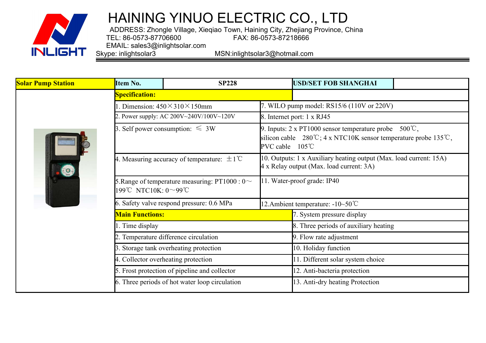

**<u><b>Solar Pump Station**</u>

# HAINING YINUO ELECTRIC CO., LTD

ADDRESS: Zhongle Village, Xieqiao Town, Haining City, Zhejiang Province, China<br>FAX: 86-0573-87218666 TEL: 86-0573-87706600 FAX: 86-0573-87218666

EMAIL: sales3@inlightsolar.com<br>Skype: inlightsolar3

MSN:inlightsolar3@hotmail.com



| Item No.               | <b>SP228</b>                                            |                                   | <b>USD/SET FOB SHANGHAI</b>                                                                                                                                                                    |  |  |  |  |  |
|------------------------|---------------------------------------------------------|-----------------------------------|------------------------------------------------------------------------------------------------------------------------------------------------------------------------------------------------|--|--|--|--|--|
| <b>Specification:</b>  |                                                         |                                   |                                                                                                                                                                                                |  |  |  |  |  |
|                        | Dimension: $450 \times 310 \times 150$ mm               |                                   | 7. WILO pump model: RS15/6 (110V or 220V)                                                                                                                                                      |  |  |  |  |  |
|                        | 2. Power supply: AC 200V $\sim$ 240V/100V $\sim$ 120V   |                                   | 8. Internet port: 1 x RJ45                                                                                                                                                                     |  |  |  |  |  |
|                        | 3. Self power consumption: $\leq 3W$                    |                                   | 9. Inputs: $2 \times PT1000$ sensor temperature probe<br>$500^{\circ}$ C,<br>silicon cable $280^{\circ}\text{C}$ ; 4 x NTC10K sensor temperature probe 135 °C,<br>PVC cable<br>$105^{\circ}$ C |  |  |  |  |  |
|                        | 4. Measuring accuracy of temperature: $\pm 1^{\circ}$ C |                                   | 10. Outputs: 1 x Auxiliary heating output (Max. load current: 15A)<br>4 x Relay output (Max. load current: 3A)                                                                                 |  |  |  |  |  |
| 199℃ NTC10K: 0~99℃     | 5. Range of temperature measuring: PT1000 : $0 \sim$    |                                   | 11. Water-proof grade: IP40                                                                                                                                                                    |  |  |  |  |  |
|                        | 6. Safety valve respond pressure: 0.6 MPa               | 12. Ambient temperature: -10~50°C |                                                                                                                                                                                                |  |  |  |  |  |
| <b>Main Functions:</b> |                                                         |                                   | 7. System pressure display                                                                                                                                                                     |  |  |  |  |  |
| 1. Time display        |                                                         |                                   | 8. Three periods of auxiliary heating                                                                                                                                                          |  |  |  |  |  |
|                        | 2. Temperature difference circulation                   |                                   | 9. Flow rate adjustment                                                                                                                                                                        |  |  |  |  |  |
|                        | 3. Storage tank overheating protection                  |                                   | 10. Holiday function                                                                                                                                                                           |  |  |  |  |  |
|                        | 4. Collector overheating protection                     |                                   | 11. Different solar system choice                                                                                                                                                              |  |  |  |  |  |
|                        | 5. Frost protection of pipeline and collector           |                                   | 12. Anti-bacteria protection                                                                                                                                                                   |  |  |  |  |  |
|                        | 6. Three periods of hot water loop circulation          |                                   | 13. Anti-dry heating Protection                                                                                                                                                                |  |  |  |  |  |